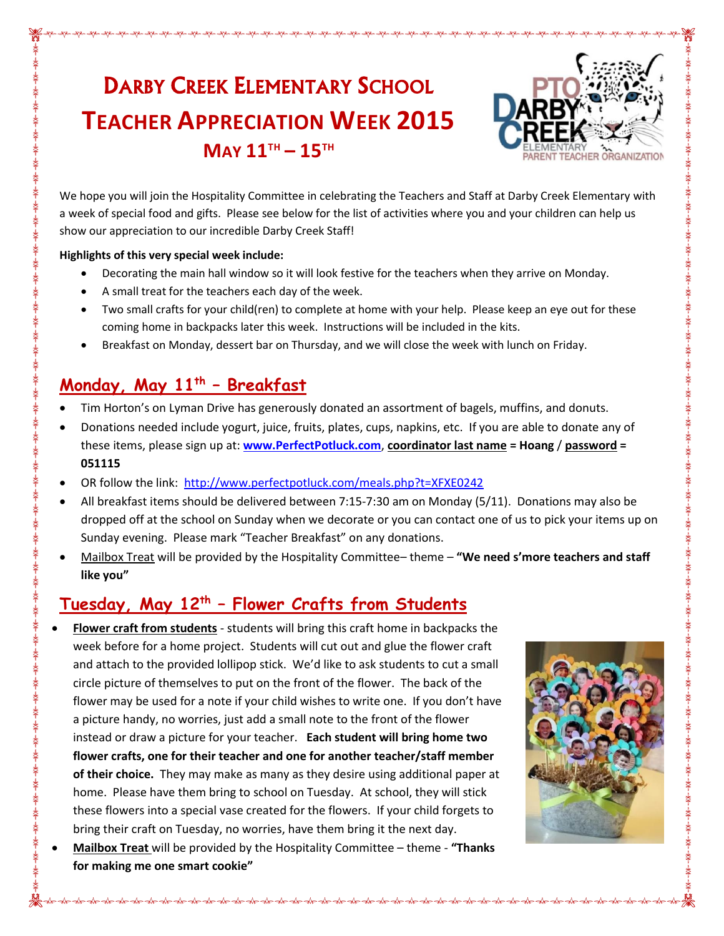# DARBY CREEK ELEMENTARY SCHOOL **TEACHER APPRECIATION WEEK 2015 MAY 11TH – 15TH**



We hope you will join the Hospitality Committee in celebrating the Teachers and Staff at Darby Creek Elementary with a week of special food and gifts. Please see below for the list of activities where you and your children can help us show our appreciation to our incredible Darby Creek Staff!

#### **Highlights of this very special week include:**

- Decorating the main hall window so it will look festive for the teachers when they arrive on Monday.
- A small treat for the teachers each day of the week.
- Two small crafts for your child(ren) to complete at home with your help. Please keep an eye out for these coming home in backpacks later this week. Instructions will be included in the kits.
- Breakfast on Monday, dessert bar on Thursday, and we will close the week with lunch on Friday.

#### **Monday, May 11th – Breakfast**

- Tim Horton's on Lyman Drive has generously donated an assortment of bagels, muffins, and donuts.
- Donations needed include yogurt, juice, fruits, plates, cups, napkins, etc. If you are able to donate any of these items, please sign up at: **[www.PerfectPotluck.com](http://www.perfectpotluck.com/)**, **coordinator last name = Hoang** / **password = 051115**
- OR follow the link:<http://www.perfectpotluck.com/meals.php?t=XFXE0242>
- All breakfast items should be delivered between 7:15-7:30 am on Monday (5/11). Donations may also be dropped off at the school on Sunday when we decorate or you can contact one of us to pick your items up on Sunday evening. Please mark "Teacher Breakfast" on any donations.
- Mailbox Treat will be provided by the Hospitality Committee– theme **"We need s'more teachers and staff like you"**

### **Tuesday, May 12th – Flower Crafts from Students**

- **Flower craft from students** students will bring this craft home in backpacks the week before for a home project. Students will cut out and glue the flower craft and attach to the provided lollipop stick. We'd like to ask students to cut a small circle picture of themselves to put on the front of the flower. The back of the flower may be used for a note if your child wishes to write one. If you don't have a picture handy, no worries, just add a small note to the front of the flower instead or draw a picture for your teacher. **Each student will bring home two flower crafts, one for their teacher and one for another teacher/staff member of their choice.** They may make as many as they desire using additional paper at home. Please have them bring to school on Tuesday. At school, they will stick these flowers into a special vase created for the flowers. If your child forgets to bring their craft on Tuesday, no worries, have them bring it the next day.
- **Mailbox Treat** will be provided by the Hospitality Committee theme **"Thanks for making me one smart cookie"**